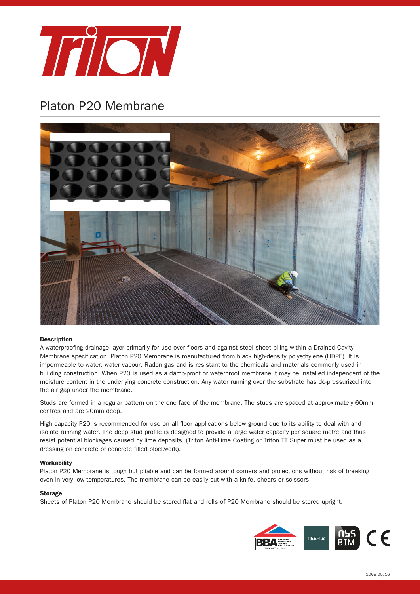

# Platon P20 Membrane



### Description

A waterproofing drainage layer primarily for use over floors and against steel sheet piling within a Drained Cavity Membrane specification. Platon P20 Membrane is manufactured from black high-density polyethylene (HDPE). It is impermeable to water, water vapour, Radon gas and is resistant to the chemicals and materials commonly used in building construction. When P20 is used as a damp-proof or waterproof membrane it may be installed independent of the moisture content in the underlying concrete construction. Any water running over the substrate has de-pressurized into the air gap under the membrane.

Studs are formed in a regular pattern on the one face of the membrane. The studs are spaced at approximately 60mm centres and are 20mm deep.

High capacity P20 is recommended for use on all floor applications below ground due to its ability to deal with and isolate running water. The deep stud profile is designed to provide a large water capacity per square metre and thus resist potential blockages caused by lime deposits, (Triton Anti-Lime Coating or Triton TT Super must be used as a dressing on concrete or concrete filled blockwork).

#### **Workability**

Platon P20 Membrane is tough but pliable and can be formed around corners and projections without risk of breaking even in very low temperatures. The membrane can be easily cut with a knife, shears or scissors.

## **Storage**

Sheets of Platon P20 Membrane should be stored flat and rolls of P20 Membrane should be stored upright.